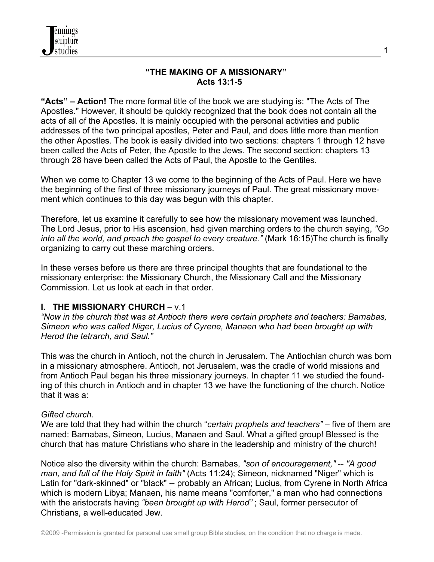

#### **"THE MAKING OF A MISSIONARY" Acts 13:1-5**

1

**"Acts" – Action!** The more formal title of the book we are studying is: "The Acts of The Apostles." However, it should be quickly recognized that the book does not contain all the acts of all of the Apostles. It is mainly occupied with the personal activities and public addresses of the two principal apostles, Peter and Paul, and does little more than mention the other Apostles. The book is easily divided into two sections: chapters 1 through 12 have been called the Acts of Peter, the Apostle to the Jews. The second section: chapters 13 through 28 have been called the Acts of Paul, the Apostle to the Gentiles.

When we come to Chapter 13 we come to the beginning of the Acts of Paul. Here we have the beginning of the first of three missionary journeys of Paul. The great missionary movement which continues to this day was begun with this chapter.

Therefore, let us examine it carefully to see how the missionary movement was launched. The Lord Jesus, prior to His ascension, had given marching orders to the church saying, *"Go into all the world, and preach the gospel to every creature."* (Mark 16:15)The church is finally organizing to carry out these marching orders.

In these verses before us there are three principal thoughts that are foundational to the missionary enterprise: the Missionary Church, the Missionary Call and the Missionary Commission. Let us look at each in that order.

# **I. THE MISSIONARY CHURCH** – v.1

*"Now in the church that was at Antioch there were certain prophets and teachers: Barnabas, Simeon who was called Niger, Lucius of Cyrene, Manaen who had been brought up with Herod the tetrarch, and Saul."* 

This was the church in Antioch, not the church in Jerusalem. The Antiochian church was born in a missionary atmosphere. Antioch, not Jerusalem, was the cradle of world missions and from Antioch Paul began his three missionary journeys. In chapter 11 we studied the founding of this church in Antioch and in chapter 13 we have the functioning of the church. Notice that it was a:

#### *Gifted church.*

We are told that they had within the church "*certain prophets and teachers"* – five of them are named: Barnabas, Simeon, Lucius, Manaen and Saul. What a gifted group! Blessed is the church that has mature Christians who share in the leadership and ministry of the church!

Notice also the diversity within the church: Barnabas, *"son of encouragement,"* -- *"A good man, and full of the Holy Spirit in faith"* (Acts 11:24); Simeon, nicknamed "Niger" which is Latin for "dark-skinned" or "black" -- probably an African; Lucius, from Cyrene in North Africa which is modern Libya; Manaen, his name means "comforter," a man who had connections with the aristocrats having *"been brought up with Herod"* ; Saul, former persecutor of Christians, a well-educated Jew.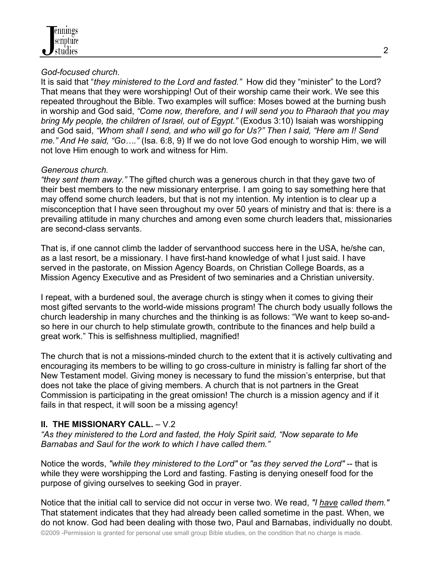### *God-focused church.*

It is said that "*they ministered to the Lord and fasted."* How did they "minister" to the Lord? That means that they were worshipping! Out of their worship came their work. We see this repeated throughout the Bible. Two examples will suffice: Moses bowed at the burning bush in worship and God said, *"Come now, therefore, and I will send you to Pharaoh that you may bring My people, the children of Israel, out of Egypt."* (Exodus 3:10) Isaiah was worshipping and God said, *"Whom shall I send, and who will go for Us?" Then I said, "Here am I! Send me." And He said, "Go…."* (Isa. 6:8, 9) If we do not love God enough to worship Him, we will not love Him enough to work and witness for Him.

# *Generous church.*

*"they sent them away."* The gifted church was a generous church in that they gave two of their best members to the new missionary enterprise. I am going to say something here that may offend some church leaders, but that is not my intention. My intention is to clear up a misconception that I have seen throughout my over 50 years of ministry and that is: there is a prevailing attitude in many churches and among even some church leaders that, missionaries are second-class servants.

That is, if one cannot climb the ladder of servanthood success here in the USA, he/she can, as a last resort, be a missionary. I have first-hand knowledge of what I just said. I have served in the pastorate, on Mission Agency Boards, on Christian College Boards, as a Mission Agency Executive and as President of two seminaries and a Christian university.

I repeat, with a burdened soul, the average church is stingy when it comes to giving their most gifted servants to the world-wide missions program! The church body usually follows the church leadership in many churches and the thinking is as follows: "We want to keep so-andso here in our church to help stimulate growth, contribute to the finances and help build a great work." This is selfishness multiplied, magnified!

The church that is not a missions-minded church to the extent that it is actively cultivating and encouraging its members to be willing to go cross-culture in ministry is falling far short of the New Testament model. Giving money is necessary to fund the mission's enterprise, but that does not take the place of giving members. A church that is not partners in the Great Commission is participating in the great omission! The church is a mission agency and if it fails in that respect, it will soon be a missing agency!

# **II. THE MISSIONARY CALL.** – V.2

*"As they ministered to the Lord and fasted, the Holy Spirit said, "Now separate to Me Barnabas and Saul for the work to which I have called them."* 

Notice the words, *"while they ministered to the Lord"* or *"as they served the Lord"* -- that is while they were worshipping the Lord and fasting. Fasting is denying oneself food for the purpose of giving ourselves to seeking God in prayer.

Notice that the initial call to service did not occur in verse two. We read, *"I have called them."* That statement indicates that they had already been called sometime in the past. When, we do not know. God had been dealing with those two, Paul and Barnabas, individually no doubt.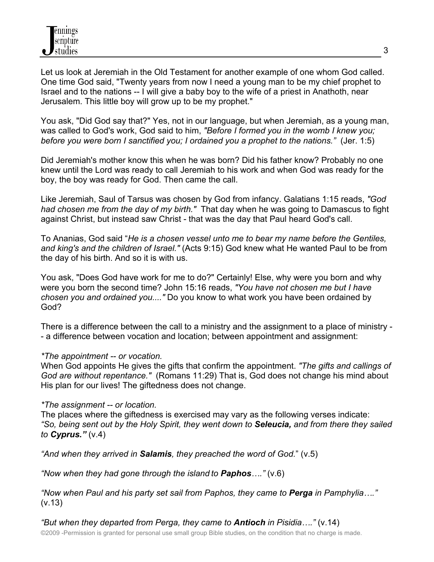Let us look at Jeremiah in the Old Testament for another example of one whom God called. One time God said, "Twenty years from now I need a young man to be my chief prophet to Israel and to the nations -- I will give a baby boy to the wife of a priest in Anathoth, near Jerusalem. This little boy will grow up to be my prophet."

You ask, "Did God say that?" Yes, not in our language, but when Jeremiah, as a young man, was called to God's work, God said to him, *"Before I formed you in the womb I knew you; before you were born I sanctified you; I ordained you a prophet to the nations."* (Jer. 1:5)

Did Jeremiah's mother know this when he was born? Did his father know? Probably no one knew until the Lord was ready to call Jeremiah to his work and when God was ready for the boy, the boy was ready for God. Then came the call.

Like Jeremiah, Saul of Tarsus was chosen by God from infancy. Galatians 1:15 reads, *"God had chosen me from the day of my birth."* That day when he was going to Damascus to fight against Christ, but instead saw Christ - that was the day that Paul heard God's call.

To Ananias, God said "*He is a chosen vessel unto me to bear my name before the Gentiles, and king's and the children of Israel."* (Acts 9:15) God knew what He wanted Paul to be from the day of his birth. And so it is with us.

You ask, "Does God have work for me to do?" Certainly! Else, why were you born and why were you born the second time? John 15:16 reads, *"You have not chosen me but I have chosen you and ordained you...."* Do you know to what work you have been ordained by God?

There is a difference between the call to a ministry and the assignment to a place of ministry - - a difference between vocation and location; between appointment and assignment:

#### *\*The appointment -- or vocation.*

When God appoints He gives the gifts that confirm the appointment. *"The gifts and callings of God are without repentance."* (Romans 11:29) That is, God does not change his mind about His plan for our lives! The giftedness does not change.

#### *\*The assignment -- or location.*

The places where the giftedness is exercised may vary as the following verses indicate: *"So, being sent out by the Holy Spirit, they went down to Seleucia, and from there they sailed to Cyprus."* (v.4)

*"And when they arrived in Salamis, they preached the word of God.*" (v.5)

*"Now when they had gone through the island to Paphos…."* (v.6)

*"Now when Paul and his party set sail from Paphos, they came to Perga in Pamphylia…."*  (v.13)

©2009 -Permission is granted for personal use small group Bible studies, on the condition that no charge is made. *"But when they departed from Perga, they came to Antioch in Pisidia…."* (v.14)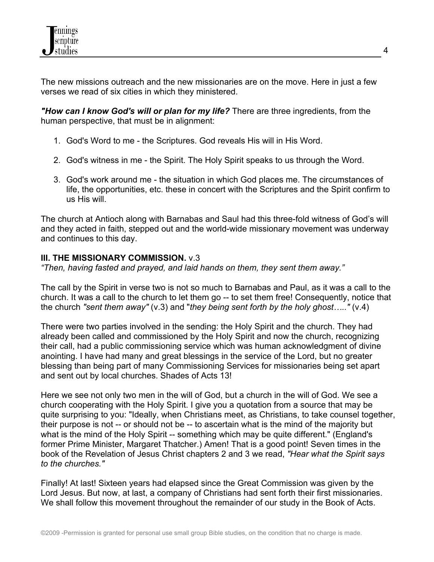The new missions outreach and the new missionaries are on the move. Here in just a few verses we read of six cities in which they ministered.

*"How can I know God's will or plan for my life?* There are three ingredients, from the human perspective, that must be in alignment:

- 1. God's Word to me the Scriptures. God reveals His will in His Word.
- 2. God's witness in me the Spirit. The Holy Spirit speaks to us through the Word.
- 3. God's work around me the situation in which God places me. The circumstances of life, the opportunities, etc. these in concert with the Scriptures and the Spirit confirm to us His will.

The church at Antioch along with Barnabas and Saul had this three-fold witness of God's will and they acted in faith, stepped out and the world-wide missionary movement was underway and continues to this day.

# **III. THE MISSIONARY COMMISSION.** v.3

*"Then, having fasted and prayed, and laid hands on them, they sent them away."*

The call by the Spirit in verse two is not so much to Barnabas and Paul, as it was a call to the church. It was a call to the church to let them go -- to set them free! Consequently, notice that the church *"sent them away"* (v.3) and "*they being sent forth by the holy ghost….."* (v.4)

There were two parties involved in the sending: the Holy Spirit and the church. They had already been called and commissioned by the Holy Spirit and now the church, recognizing their call, had a public commissioning service which was human acknowledgment of divine anointing. I have had many and great blessings in the service of the Lord, but no greater blessing than being part of many Commissioning Services for missionaries being set apart and sent out by local churches. Shades of Acts 13!

Here we see not only two men in the will of God, but a church in the will of God. We see a church cooperating with the Holy Spirit. I give you a quotation from a source that may be quite surprising to you: "Ideally, when Christians meet, as Christians, to take counsel together, their purpose is not -- or should not be -- to ascertain what is the mind of the majority but what is the mind of the Holy Spirit -- something which may be quite different." (England's former Prime Minister, Margaret Thatcher.) Amen! That is a good point! Seven times in the book of the Revelation of Jesus Christ chapters 2 and 3 we read, *"Hear what the Spirit says to the churches."*

Finally! At last! Sixteen years had elapsed since the Great Commission was given by the Lord Jesus. But now, at last, a company of Christians had sent forth their first missionaries. We shall follow this movement throughout the remainder of our study in the Book of Acts.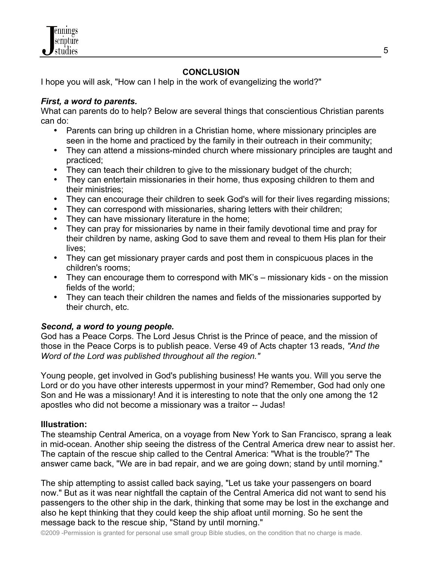

# **CONCLUSION**

I hope you will ask, "How can I help in the work of evangelizing the world?"

## *First, a word to parents.*

What can parents do to help? Below are several things that conscientious Christian parents can do:

- Parents can bring up children in a Christian home, where missionary principles are seen in the home and practiced by the family in their outreach in their community;
- They can attend a missions-minded church where missionary principles are taught and practiced;
- They can teach their children to give to the missionary budget of the church;
- They can entertain missionaries in their home, thus exposing children to them and their ministries;
- They can encourage their children to seek God's will for their lives regarding missions;
- They can correspond with missionaries, sharing letters with their children;
- They can have missionary literature in the home;
- They can pray for missionaries by name in their family devotional time and pray for their children by name, asking God to save them and reveal to them His plan for their lives;
- They can get missionary prayer cards and post them in conspicuous places in the children's rooms;
- They can encourage them to correspond with MK's missionary kids on the mission fields of the world;
- They can teach their children the names and fields of the missionaries supported by their church, etc.

# *Second, a word to young people.*

God has a Peace Corps. The Lord Jesus Christ is the Prince of peace, and the mission of those in the Peace Corps is to publish peace. Verse 49 of Acts chapter 13 reads, *"And the Word of the Lord was published throughout all the region."* 

Young people, get involved in God's publishing business! He wants you. Will you serve the Lord or do you have other interests uppermost in your mind? Remember, God had only one Son and He was a missionary! And it is interesting to note that the only one among the 12 apostles who did not become a missionary was a traitor -- Judas!

# **Illustration:**

The steamship Central America, on a voyage from New York to San Francisco, sprang a leak in mid-ocean. Another ship seeing the distress of the Central America drew near to assist her. The captain of the rescue ship called to the Central America: "What is the trouble?" The answer came back, "We are in bad repair, and we are going down; stand by until morning."

The ship attempting to assist called back saying, "Let us take your passengers on board now." But as it was near nightfall the captain of the Central America did not want to send his passengers to the other ship in the dark, thinking that some may be lost in the exchange and also he kept thinking that they could keep the ship afloat until morning. So he sent the message back to the rescue ship, "Stand by until morning."

©2009 -Permission is granted for personal use small group Bible studies, on the condition that no charge is made.